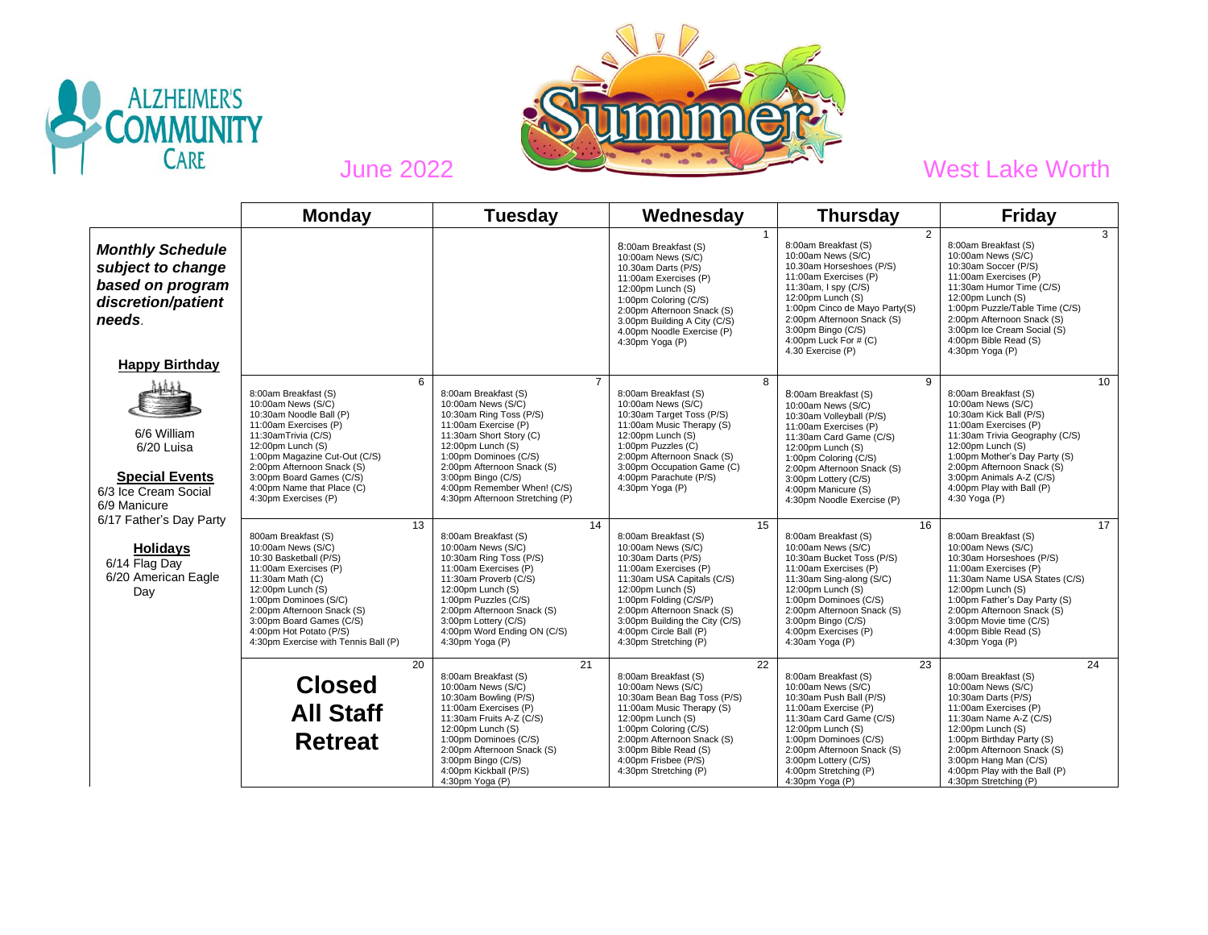



|                                                                                                                           | <b>Monday</b>                                                                                                                                                                                                                                                                                     | Tuesday                                                                                                                                                                                                                                                                                                        | Wednesday                                                                                                                                                                                                                                                                                        | <b>Thursday</b>                                                                                                                                                                                                                                                                                    | <b>Friday</b>                                                                                                                                                                                                                                                                                        |
|---------------------------------------------------------------------------------------------------------------------------|---------------------------------------------------------------------------------------------------------------------------------------------------------------------------------------------------------------------------------------------------------------------------------------------------|----------------------------------------------------------------------------------------------------------------------------------------------------------------------------------------------------------------------------------------------------------------------------------------------------------------|--------------------------------------------------------------------------------------------------------------------------------------------------------------------------------------------------------------------------------------------------------------------------------------------------|----------------------------------------------------------------------------------------------------------------------------------------------------------------------------------------------------------------------------------------------------------------------------------------------------|------------------------------------------------------------------------------------------------------------------------------------------------------------------------------------------------------------------------------------------------------------------------------------------------------|
| <b>Monthly Schedule</b><br>subject to change<br>based on program<br>discretion/patient<br>needs.<br><b>Happy Birthday</b> |                                                                                                                                                                                                                                                                                                   |                                                                                                                                                                                                                                                                                                                | 8:00am Breakfast (S)<br>10:00am News (S/C)<br>10.30am Darts (P/S)<br>11:00am Exercises (P)<br>12:00pm Lunch (S)<br>1:00pm Coloring (C/S)<br>2:00pm Afternoon Snack (S)<br>3.00pm Building A City (C/S)<br>4.00pm Noodle Exercise (P)<br>4:30pm Yoga (P)                                          | $\overline{2}$<br>8:00am Breakfast (S)<br>10:00am News (S/C)<br>10.30am Horseshoes (P/S)<br>11:00am Exercises (P)<br>11:30am, I spy (C/S)<br>12:00pm Lunch (S)<br>1:00pm Cinco de Mayo Party(S)<br>2:00pm Afternoon Snack (S)<br>3:00pm Bingo (C/S)<br>4:00pm Luck For $#(C)$<br>4.30 Exercise (P) | 3<br>8:00am Breakfast (S)<br>10:00am News (S/C)<br>10:30am Soccer (P/S)<br>11:00am Exercises (P)<br>11:30am Humor Time (C/S)<br>12:00pm Lunch (S)<br>1:00pm Puzzle/Table Time (C/S)<br>2:00pm Afternoon Snack (S)<br>3:00pm Ice Cream Social (S)<br>4:00pm Bible Read (S)<br>4:30pm Yoga (P)         |
| 6/6 William<br>6/20 Luisa<br><b>Special Events</b><br>6/3 Ice Cream Social<br>6/9 Manicure                                | 6<br>8:00am Breakfast (S)<br>10:00am News (S/C)<br>10:30am Noodle Ball (P)<br>11:00am Exercises (P)<br>11:30amTrivia (C/S)<br>12:00pm Lunch (S)<br>1:00pm Magazine Cut-Out (C/S)<br>2:00pm Afternoon Snack (S)<br>3:00pm Board Games (C/S)<br>4:00pm Name that Place (C)<br>4:30pm Exercises (P)  | $\overline{7}$<br>8:00am Breakfast (S)<br>10:00am News (S/C)<br>10:30am Ring Toss (P/S)<br>11:00am Exercise (P)<br>11:30am Short Story (C)<br>12:00pm Lunch (S)<br>1:00pm Dominoes (C/S)<br>2:00pm Afternoon Snack (S)<br>3:00pm Bingo (C/S)<br>4:00pm Remember When! (C/S)<br>4:30pm Afternoon Stretching (P) | 8<br>8:00am Breakfast (S)<br>10:00am News (S/C)<br>10:30am Target Toss (P/S)<br>11:00am Music Therapy (S)<br>12:00pm Lunch (S)<br>1:00pm Puzzles (C)<br>2:00pm Afternoon Snack (S)<br>3:00pm Occupation Game (C)<br>4:00pm Parachute (P/S)<br>$4:30$ pm Yoga (P)                                 | 9<br>8:00am Breakfast (S)<br>10:00am News (S/C)<br>10:30am Volleyball (P/S)<br>11:00am Exercises (P)<br>11:30am Card Game (C/S)<br>12:00pm Lunch (S)<br>1:00pm Coloring (C/S)<br>2:00pm Afternoon Snack (S)<br>3:00pm Lottery (C/S)<br>4:00pm Manicure (S)<br>4:30pm Noodle Exercise (P)           | 10<br>8:00am Breakfast (S)<br>10:00am News (S/C)<br>10:30am Kick Ball (P/S)<br>11:00am Exercises (P)<br>11:30am Trivia Geography (C/S)<br>12:00pm Lunch (S)<br>1:00pm Mother's Day Party (S)<br>2:00pm Afternoon Snack (S)<br>3:00pm Animals A-Z (C/S)<br>4:00pm Play with Ball (P)<br>4:30 Yoga (P) |
| 6/17 Father's Day Party<br><b>Holidays</b><br>6/14 Flag Day<br>6/20 American Eagle<br>Day                                 | 13<br>800am Breakfast (S)<br>10:00am News (S/C)<br>10:30 Basketball (P/S)<br>11:00am Exercises (P)<br>11:30am Math (C)<br>12:00pm Lunch (S)<br>1:00pm Dominoes (S/C)<br>2:00pm Afternoon Snack (S)<br>3:00pm Board Games (C/S)<br>4:00pm Hot Potato (P/S)<br>4:30pm Exercise with Tennis Ball (P) | 14<br>8:00am Breakfast (S)<br>10:00am News (S/C)<br>10:30am Ring Toss (P/S)<br>11:00am Exercises (P)<br>11:30am Proverb (C/S)<br>12:00pm Lunch (S)<br>1:00pm Puzzles (C/S)<br>2:00pm Afternoon Snack (S)<br>3:00pm Lottery (C/S)<br>4:00pm Word Ending ON (C/S)<br>4:30pm Yoga (P)                             | 15<br>8:00am Breakfast (S)<br>10:00am News (S/C)<br>10:30am Darts (P/S)<br>11:00am Exercises (P)<br>11:30am USA Capitals (C/S)<br>12:00pm Lunch (S)<br>1:00pm Folding (C/S/P)<br>2:00pm Afternoon Snack (S)<br>3:00pm Building the City (C/S)<br>4:00pm Circle Ball (P)<br>4:30pm Stretching (P) | 16<br>8:00am Breakfast (S)<br>10:00am News (S/C)<br>10:30am Bucket Toss (P/S)<br>11:00am Exercises (P)<br>11:30am Sing-along (S/C)<br>12:00pm Lunch (S)<br>1:00pm Dominoes (C/S)<br>2:00pm Afternoon Snack (S)<br>3:00pm Bingo (C/S)<br>4:00pm Exercises (P)<br>4:30am Yoga (P)                    | 17<br>8:00am Breakfast (S)<br>10:00am News (S/C)<br>10:30am Horseshoes (P/S)<br>11:00am Exercises (P)<br>11:30am Name USA States (C/S)<br>12:00pm Lunch (S)<br>1:00pm Father's Day Party (S)<br>2:00pm Afternoon Snack (S)<br>3:00pm Movie time (C/S)<br>4:00pm Bible Read (S)<br>4:30pm Yoga (P)    |
|                                                                                                                           | 20<br><b>Closed</b><br><b>All Staff</b><br><b>Retreat</b>                                                                                                                                                                                                                                         | 21<br>8:00am Breakfast (S)<br>10:00am News (S/C)<br>10:30am Bowling (P/S)<br>11:00am Exercises (P)<br>11:30am Fruits A-Z (C/S)<br>12:00pm Lunch (S)<br>1:00pm Dominoes (C/S)<br>2:00pm Afternoon Snack (S)<br>3:00pm Bingo (C/S)<br>4:00pm Kickball (P/S)<br>4:30pm Yoga (P)                                   | 22<br>8:00am Breakfast (S)<br>10:00am News (S/C)<br>10:30am Bean Bag Toss (P/S)<br>11:00am Music Therapy (S)<br>12:00pm Lunch (S)<br>1:00pm Coloring (C/S)<br>2:00pm Afternoon Snack (S)<br>3:00pm Bible Read (S)<br>4:00pm Frisbee (P/S)<br>4:30pm Stretching (P)                               | 23<br>8:00am Breakfast (S)<br>10:00am News (S/C)<br>10:30am Push Ball (P/S)<br>11:00am Exercise (P)<br>11:30am Card Game (C/S)<br>12:00pm Lunch (S)<br>1:00pm Dominoes (C/S)<br>2:00pm Afternoon Snack (S)<br>3:00pm Lottery (C/S)<br>4:00pm Stretching (P)<br>4:30pm Yoga (P)                     | 24<br>8:00am Breakfast (S)<br>10:00am News (S/C)<br>10:30am Darts (P/S)<br>11:00am Exercises (P)<br>11:30am Name A-Z (C/S)<br>12:00pm Lunch (S)<br>1:00pm Birthday Party (S)<br>2:00pm Afternoon Snack (S)<br>3:00pm Hang Man (C/S)<br>4:00pm Play with the Ball (P)<br>4:30pm Stretching (P)        |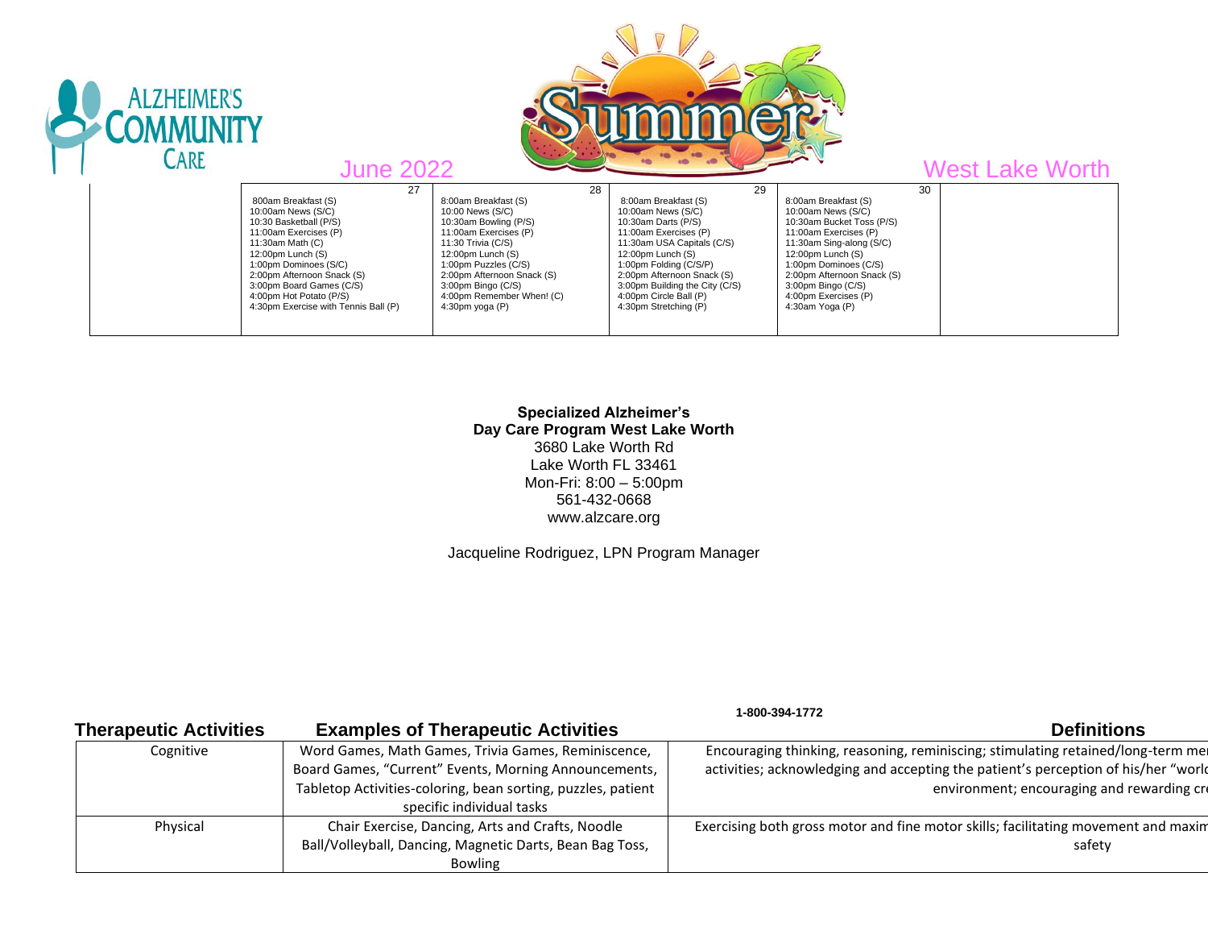

## **Specialized Alzheimer's Day Care Program West Lake Worth** 3680 Lake Worth Rd Lake Worth FL 33461 Mon-Fri: 8:00 – 5:00pm 561-432-0668 www.alzcare.org

Jacqueline Rodriguez, LPN Program Manager

 **1-800-394-1772** 

| <b>Therapeutic Activities</b> | <b>Examples of Therapeutic Activities</b>                                                                                                                                                                 | <b>Definitions</b>                                                                                                                                                                                                   |
|-------------------------------|-----------------------------------------------------------------------------------------------------------------------------------------------------------------------------------------------------------|----------------------------------------------------------------------------------------------------------------------------------------------------------------------------------------------------------------------|
| Cognitive                     | Word Games, Math Games, Trivia Games, Reminiscence,<br>Board Games, "Current" Events, Morning Announcements,<br>Tabletop Activities-coloring, bean sorting, puzzles, patient<br>specific individual tasks | Encouraging thinking, reasoning, reminiscing; stimulating retained/long-term mer<br>activities; acknowledging and accepting the patient's perception of his/her "world<br>environment; encouraging and rewarding cre |
| Physical                      | Chair Exercise, Dancing, Arts and Crafts, Noodle<br>Ball/Volleyball, Dancing, Magnetic Darts, Bean Bag Toss,<br><b>Bowling</b>                                                                            | Exercising both gross motor and fine motor skills; facilitating movement and maxim<br>safety                                                                                                                         |